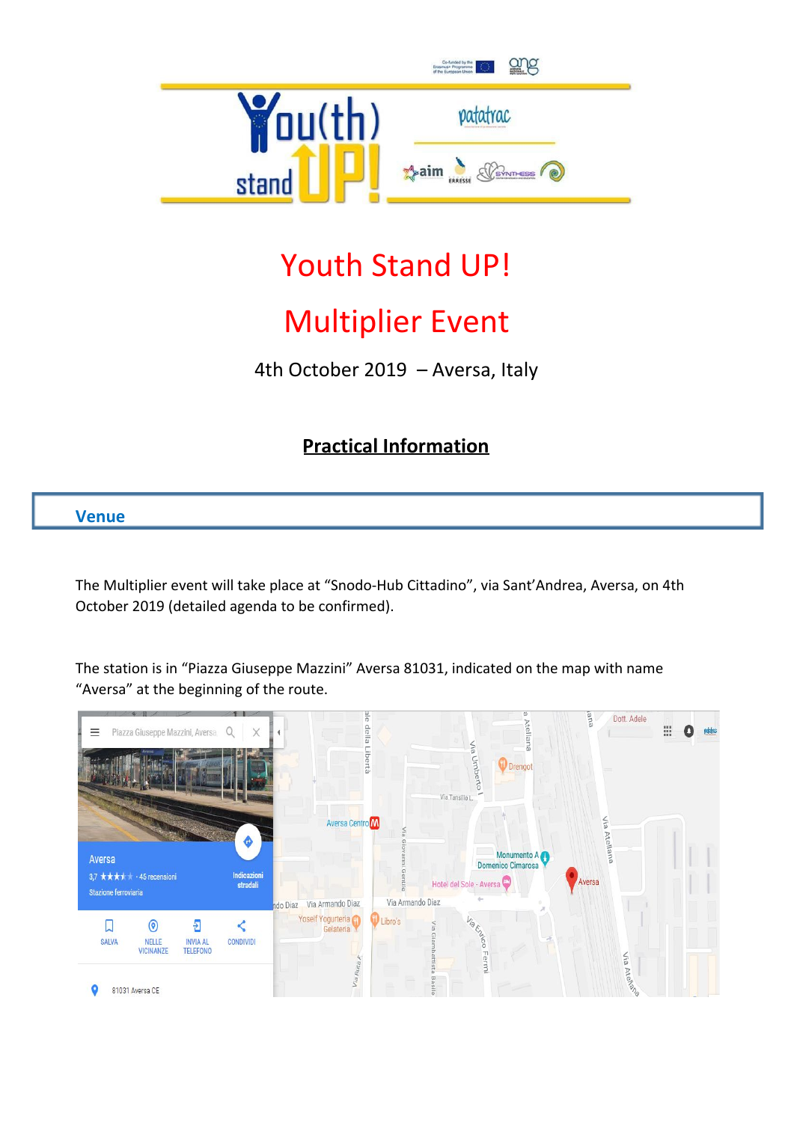

# Youth Stand UP!

# Multiplier Event

4th October 2019 – Aversa, Italy

# **Practical Information**

## **Venue**

The Multiplier event will take place at "Snodo-Hub Cittadino", via Sant'Andrea, Aversa, on 4th October 2019 (detailed agenda to be confirmed).

The station is in "Piazza Giuseppe Mazzini" Aversa 81031, indicated on the map with name "Aversa" at the beginning of the route.

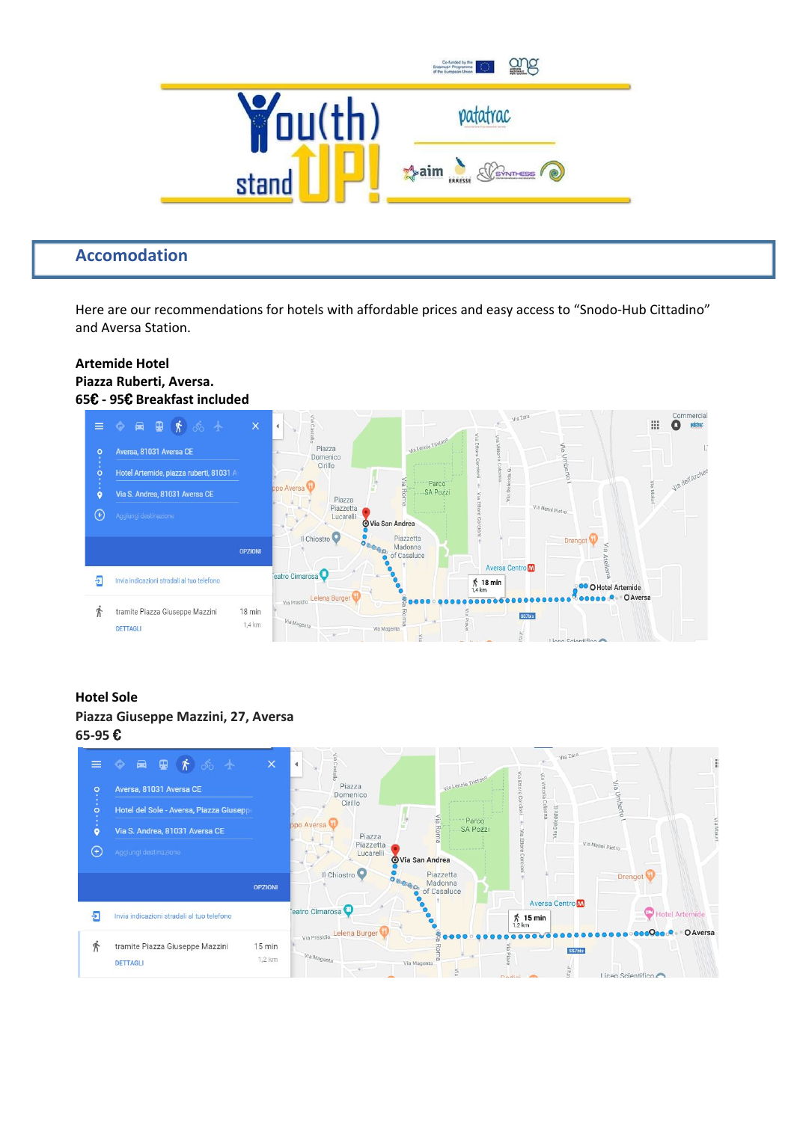

### **Accomodation**

Here are our recommendations for hotels with affordable prices and easy access to "Snodo-Hub Cittadino" and Aversa Station.

#### **Artemide Hotel Piazza Ruberti, Aversa. 65**€ **- 95**€ **Breakfast included**



#### **Hotel Sole Piazza Giuseppe Mazzini, 27, Aversa 65-95** €